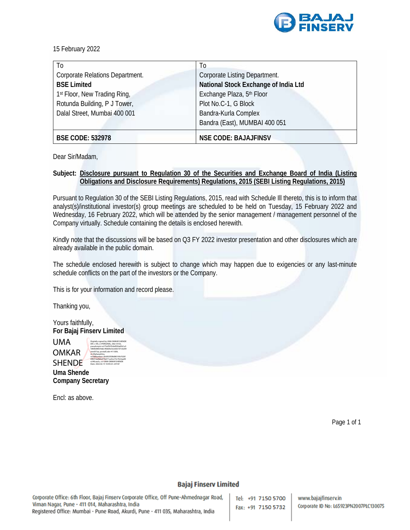

15 February 2022

| To                              | T <sub>0</sub>                       |  |
|---------------------------------|--------------------------------------|--|
| Corporate Relations Department. | <b>Corporate Listing Department.</b> |  |
| <b>BSE Limited</b>              | National Stock Exchange of India Ltd |  |
| 1st Floor, New Trading Ring,    | Exchange Plaza, 5th Floor            |  |
| Rotunda Building, P J Tower,    | Plot No.C-1, G Block                 |  |
| Dalal Street, Mumbai 400 001    | Bandra-Kurla Complex                 |  |
|                                 | Bandra (East), MUMBAI 400 051        |  |
| <b>BSE CODE: 532978</b>         | <b>NSE CODE: BAJAJFINSV</b>          |  |

Dear Sir/Madam,

### **Subject: Disclosure pursuant to Regulation 30 of the Securities and Exchange Board of India (Listing Obligations and Disclosure Requirements) Regulations, 2015 (SEBI Listing Regulations, 2015)**

Pursuant to Regulation 30 of the SEBI Listing Regulations, 2015, read with Schedule Ill thereto, this is to inform that analyst(s)/institutional investor(s) group meetings are scheduled to be held on Tuesday, 15 February 2022 and Wednesday, 16 February 2022, which will be attended by the senior management / management personnel of the Company virtually. Schedule containing the details is enclosed herewith.

Kindly note that the discussions will be based on Q3 FY 2022 investor presentation and other disclosures which are already available in the public domain.

The schedule enclosed herewith is subject to change which may happen due to exigencies or any last-minute schedule conflicts on the part of the investors or the Company.

This is for your information and record please.

Thanking you,

Yours faithfully, **For Bajaj Finserv Limited** 

UMA **OMKAR** SHENDE e240caa3c, cn=UMA OMKAR SHENDE Date: 2022.02.15 10:49:23 +05'30'

Digitally signed by UMA OMKAR SHENDE DN: c=IN, o=PERSONAL, title=0163, pseudonym=e275ef597b9ef050a83b1a5 5860b88639abc40dd6e3e2ebb107cb209 eeed57aa, postalCode=411009, st=Maharashtra, serialNumber=36d920508d8616fe76281 6fb91ba0bfe079a571ac0ce73c7622aa00

**Uma Shende Company Secretary** 

Encl: as above.

Page 1 of 1

#### **Bajaj Finserv Limited**

Corporate Office: 6th Floor, Bajaj Finserv Corporate Office, Off Pune-Ahmednagar Road, Viman Nagar, Pune - 411 014, Maharashtra, India Registered Office: Mumbai - Pune Road, Akurdi, Pune - 411 035, Maharashtra, India

Tel: +91 7150 5700 Fax: +91 7150 5732

www.bajajfinserv.in Corporate ID No: L65923PN2007PLC130075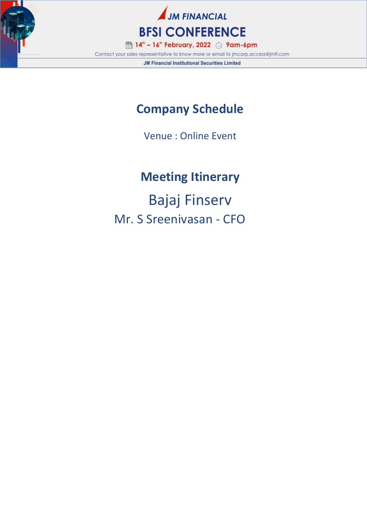



Contact your sales representative to know more or email to jmcorp.access@jmfl.com **JM Financial Institutional Securities Limited** 

## **Company Schedule**

Venue : Online Event

# **Meeting Itinerary**

Bajaj Finserv Mr. S Sreenivasan - CFO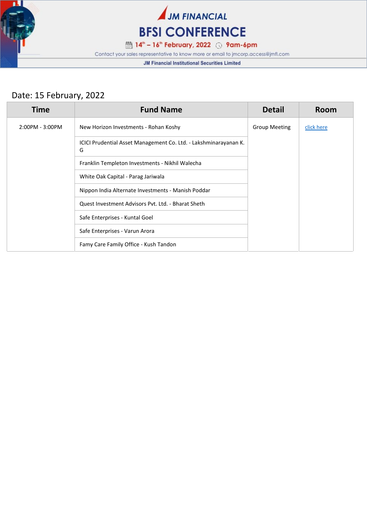



iii 14" - 16" February, 2022 ⊙ 9am-6pm

Contact your sales representative to know more or email to jmcorp.access@jmfl.com

**JM Financial Institutional Securities Limited** 

## Date: 15 February, 2022

| <b>Time</b>     | <b>Fund Name</b>                                                      | <b>Detail</b>        | Room       |
|-----------------|-----------------------------------------------------------------------|----------------------|------------|
| 2:00PM - 3:00PM | New Horizon Investments - Rohan Koshy                                 | <b>Group Meeting</b> | click here |
|                 | ICICI Prudential Asset Management Co. Ltd. - Lakshminarayanan K.<br>G |                      |            |
|                 | Franklin Templeton Investments - Nikhil Walecha                       |                      |            |
|                 | White Oak Capital - Parag Jariwala                                    |                      |            |
|                 | Nippon India Alternate Investments - Manish Poddar                    |                      |            |
|                 | Quest Investment Advisors Pvt. Ltd. - Bharat Sheth                    |                      |            |
|                 | Safe Enterprises - Kuntal Goel                                        |                      |            |
|                 | Safe Enterprises - Varun Arora                                        |                      |            |
|                 | Famy Care Family Office - Kush Tandon                                 |                      |            |